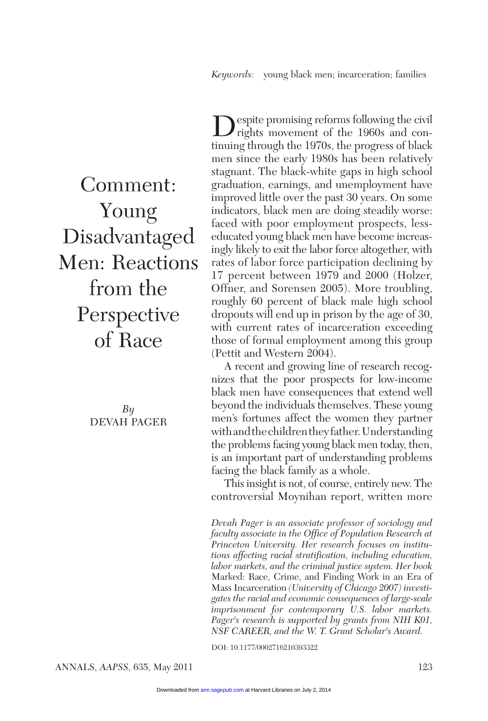Comment: Young Disadvantaged Men: Reactions from the **Perspective** of Race

> *By* DEVAH PAGER

**D**espite promising reforms following the civil<br>rights movement of the 1960s and continuing through the 1970s, the progress of black men since the early 1980s has been relatively stagnant. The black-white gaps in high school graduation, earnings, and unemployment have improved little over the past 30 years. On some indicators, black men are doing steadily worse: faced with poor employment prospects, lesseducated young black men have become increasingly likely to exit the labor force altogether, with rates of labor force participation declining by 17 percent between 1979 and 2000 (Holzer, Offner, and Sorensen 2005). More troubling, roughly 60 percent of black male high school dropouts will end up in prison by the age of 30, with current rates of incarceration exceeding those of formal employment among this group (Pettit and Western 2004).

A recent and growing line of research recognizes that the poor prospects for low-income black men have consequences that extend well beyond the individuals themselves. These young men's fortunes affect the women they partner with and the children they father. Understanding the problems facing young black men today, then, is an important part of understanding problems facing the black family as a whole.

This insight is not, of course, entirely new. The controversial Moynihan report, written more

*Devah Pager is an associate professor of sociology and faculty associate in the Office of Population Research at Princeton University. Her research focuses on institutions affecting racial stratification, including education, labor markets, and the criminal justice system. Her book*  Marked: Race, Crime, and Finding Work in an Era of Mass Incarceration *(University of Chicago 2007) investigates the racial and economic consequences of large-scale imprisonment for contemporary U.S. labor markets. Pager's research is supported by grants from NIH K01, NSF CAREER, and the W. T. Grant Scholar's Award.*

DOI: 10.1177/0002716210393322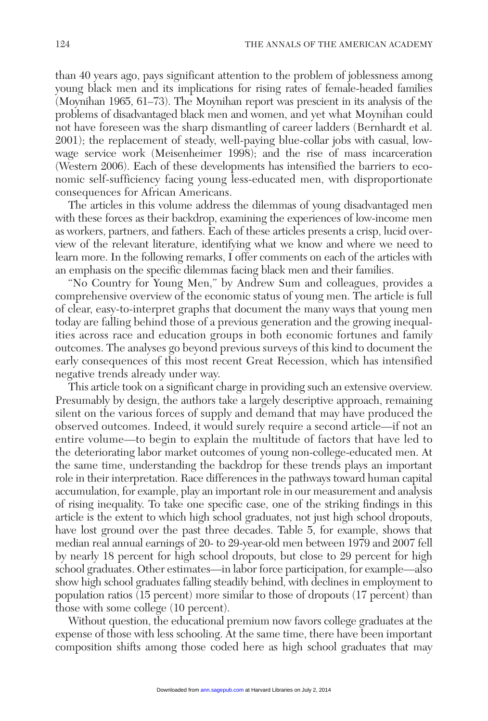than 40 years ago, pays significant attention to the problem of joblessness among young black men and its implications for rising rates of female-headed families (Moynihan 1965, 61–73). The Moynihan report was prescient in its analysis of the problems of disadvantaged black men and women, and yet what Moynihan could not have foreseen was the sharp dismantling of career ladders (Bernhardt et al. 2001); the replacement of steady, well-paying blue-collar jobs with casual, lowwage service work (Meisenheimer 1998); and the rise of mass incarceration (Western 2006). Each of these developments has intensified the barriers to economic self-sufficiency facing young less-educated men, with disproportionate consequences for African Americans.

The articles in this volume address the dilemmas of young disadvantaged men with these forces as their backdrop, examining the experiences of low-income men as workers, partners, and fathers. Each of these articles presents a crisp, lucid overview of the relevant literature, identifying what we know and where we need to learn more. In the following remarks, I offer comments on each of the articles with an emphasis on the specific dilemmas facing black men and their families.

"No Country for Young Men," by Andrew Sum and colleagues, provides a comprehensive overview of the economic status of young men. The article is full of clear, easy-to-interpret graphs that document the many ways that young men today are falling behind those of a previous generation and the growing inequalities across race and education groups in both economic fortunes and family outcomes. The analyses go beyond previous surveys of this kind to document the early consequences of this most recent Great Recession, which has intensified negative trends already under way.

This article took on a significant charge in providing such an extensive overview. Presumably by design, the authors take a largely descriptive approach, remaining silent on the various forces of supply and demand that may have produced the observed outcomes. Indeed, it would surely require a second article—if not an entire volume—to begin to explain the multitude of factors that have led to the deteriorating labor market outcomes of young non-college-educated men. At the same time, understanding the backdrop for these trends plays an important role in their interpretation. Race differences in the pathways toward human capital accumulation, for example, play an important role in our measurement and analysis of rising inequality. To take one specific case, one of the striking findings in this article is the extent to which high school graduates, not just high school dropouts, have lost ground over the past three decades. Table 5, for example, shows that median real annual earnings of 20- to 29-year-old men between 1979 and 2007 fell by nearly 18 percent for high school dropouts, but close to 29 percent for high school graduates. Other estimates—in labor force participation, for example—also show high school graduates falling steadily behind, with declines in employment to population ratios (15 percent) more similar to those of dropouts (17 percent) than those with some college (10 percent).

Without question, the educational premium now favors college graduates at the expense of those with less schooling. At the same time, there have been important composition shifts among those coded here as high school graduates that may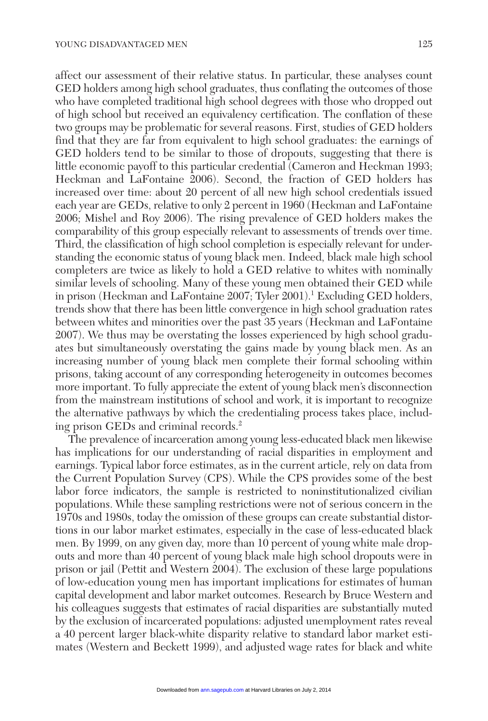affect our assessment of their relative status. In particular, these analyses count GED holders among high school graduates, thus conflating the outcomes of those who have completed traditional high school degrees with those who dropped out of high school but received an equivalency certification. The conflation of these two groups may be problematic for several reasons. First, studies of GED holders find that they are far from equivalent to high school graduates: the earnings of GED holders tend to be similar to those of dropouts, suggesting that there is little economic payoff to this particular credential (Cameron and Heckman 1993; Heckman and LaFontaine 2006). Second, the fraction of GED holders has increased over time: about 20 percent of all new high school credentials issued each year are GEDs, relative to only 2 percent in 1960 (Heckman and LaFontaine 2006; Mishel and Roy 2006). The rising prevalence of GED holders makes the comparability of this group especially relevant to assessments of trends over time. Third, the classification of high school completion is especially relevant for understanding the economic status of young black men. Indeed, black male high school completers are twice as likely to hold a GED relative to whites with nominally similar levels of schooling. Many of these young men obtained their GED while in prison (Heckman and LaFontaine 2007; Tyler 2001).<sup>1</sup> Excluding GED holders, trends show that there has been little convergence in high school graduation rates between whites and minorities over the past 35 years (Heckman and LaFontaine 2007). We thus may be overstating the losses experienced by high school graduates but simultaneously overstating the gains made by young black men. As an increasing number of young black men complete their formal schooling within prisons, taking account of any corresponding heterogeneity in outcomes becomes more important. To fully appreciate the extent of young black men's disconnection from the mainstream institutions of school and work, it is important to recognize the alternative pathways by which the credentialing process takes place, including prison GEDs and criminal records.<sup>2</sup>

The prevalence of incarceration among young less-educated black men likewise has implications for our understanding of racial disparities in employment and earnings. Typical labor force estimates, as in the current article, rely on data from the Current Population Survey (CPS). While the CPS provides some of the best labor force indicators, the sample is restricted to noninstitutionalized civilian populations. While these sampling restrictions were not of serious concern in the 1970s and 1980s, today the omission of these groups can create substantial distortions in our labor market estimates, especially in the case of less-educated black men. By 1999, on any given day, more than 10 percent of young white male dropouts and more than 40 percent of young black male high school dropouts were in prison or jail (Pettit and Western 2004). The exclusion of these large populations of low-education young men has important implications for estimates of human capital development and labor market outcomes. Research by Bruce Western and his colleagues suggests that estimates of racial disparities are substantially muted by the exclusion of incarcerated populations: adjusted unemployment rates reveal a 40 percent larger black-white disparity relative to standard labor market estimates (Western and Beckett 1999), and adjusted wage rates for black and white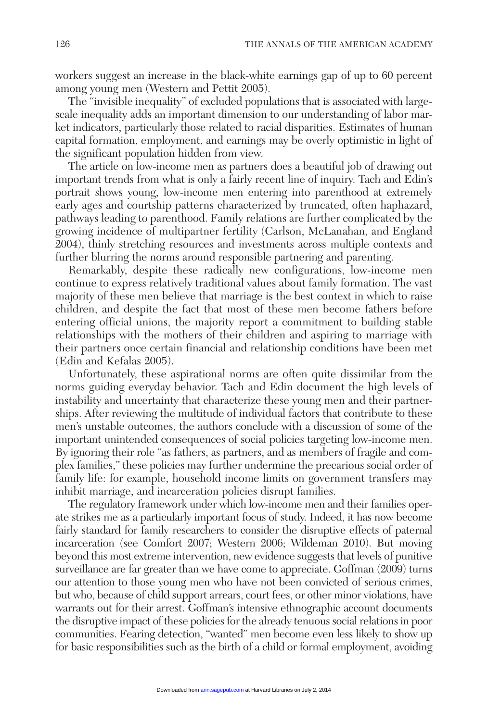workers suggest an increase in the black-white earnings gap of up to 60 percent among young men (Western and Pettit 2005).

The "invisible inequality" of excluded populations that is associated with largescale inequality adds an important dimension to our understanding of labor market indicators, particularly those related to racial disparities. Estimates of human capital formation, employment, and earnings may be overly optimistic in light of the significant population hidden from view.

The article on low-income men as partners does a beautiful job of drawing out important trends from what is only a fairly recent line of inquiry. Tach and Edin's portrait shows young, low-income men entering into parenthood at extremely early ages and courtship patterns characterized by truncated, often haphazard, pathways leading to parenthood. Family relations are further complicated by the growing incidence of multipartner fertility (Carlson, McLanahan, and England 2004), thinly stretching resources and investments across multiple contexts and further blurring the norms around responsible partnering and parenting.

Remarkably, despite these radically new configurations, low-income men continue to express relatively traditional values about family formation. The vast majority of these men believe that marriage is the best context in which to raise children, and despite the fact that most of these men become fathers before entering official unions, the majority report a commitment to building stable relationships with the mothers of their children and aspiring to marriage with their partners once certain financial and relationship conditions have been met (Edin and Kefalas 2005).

Unfortunately, these aspirational norms are often quite dissimilar from the norms guiding everyday behavior. Tach and Edin document the high levels of instability and uncertainty that characterize these young men and their partnerships. After reviewing the multitude of individual factors that contribute to these men's unstable outcomes, the authors conclude with a discussion of some of the important unintended consequences of social policies targeting low-income men. By ignoring their role "as fathers, as partners, and as members of fragile and complex families," these policies may further undermine the precarious social order of family life: for example, household income limits on government transfers may inhibit marriage, and incarceration policies disrupt families.

The regulatory framework under which low-income men and their families operate strikes me as a particularly important focus of study. Indeed, it has now become fairly standard for family researchers to consider the disruptive effects of paternal incarceration (see Comfort 2007; Western 2006; Wildeman 2010). But moving beyond this most extreme intervention, new evidence suggests that levels of punitive surveillance are far greater than we have come to appreciate. Goffman (2009) turns our attention to those young men who have not been convicted of serious crimes, but who, because of child support arrears, court fees, or other minor violations, have warrants out for their arrest. Goffman's intensive ethnographic account documents the disruptive impact of these policies for the already tenuous social relations in poor communities. Fearing detection, "wanted" men become even less likely to show up for basic responsibilities such as the birth of a child or formal employment, avoiding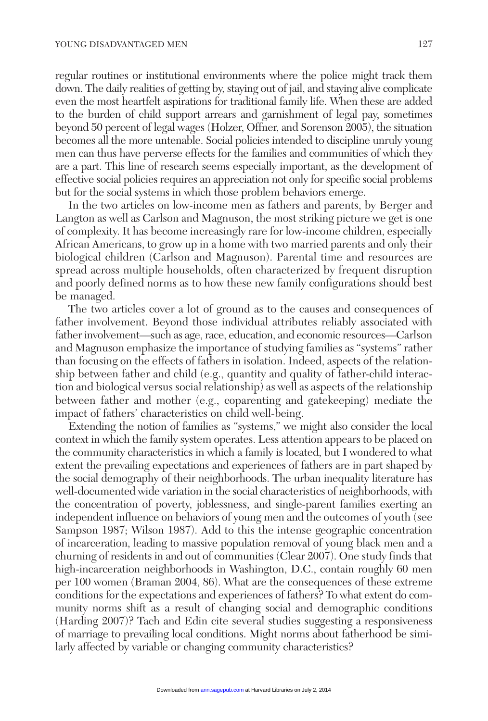regular routines or institutional environments where the police might track them down. The daily realities of getting by, staying out of jail, and staying alive complicate even the most heartfelt aspirations for traditional family life. When these are added to the burden of child support arrears and garnishment of legal pay, sometimes beyond 50 percent of legal wages (Holzer, Offner, and Sorenson 2005), the situation becomes all the more untenable. Social policies intended to discipline unruly young men can thus have perverse effects for the families and communities of which they are a part. This line of research seems especially important, as the development of effective social policies requires an appreciation not only for specific social problems but for the social systems in which those problem behaviors emerge.

In the two articles on low-income men as fathers and parents, by Berger and Langton as well as Carlson and Magnuson, the most striking picture we get is one of complexity. It has become increasingly rare for low-income children, especially African Americans, to grow up in a home with two married parents and only their biological children (Carlson and Magnuson). Parental time and resources are spread across multiple households, often characterized by frequent disruption and poorly defined norms as to how these new family configurations should best be managed.

The two articles cover a lot of ground as to the causes and consequences of father involvement. Beyond those individual attributes reliably associated with father involvement—such as age, race, education, and economic resources—Carlson and Magnuson emphasize the importance of studying families as "systems" rather than focusing on the effects of fathers in isolation. Indeed, aspects of the relationship between father and child (e.g., quantity and quality of father-child interaction and biological versus social relationship) as well as aspects of the relationship between father and mother (e.g., coparenting and gatekeeping) mediate the impact of fathers' characteristics on child well-being.

Extending the notion of families as "systems," we might also consider the local context in which the family system operates. Less attention appears to be placed on the community characteristics in which a family is located, but I wondered to what extent the prevailing expectations and experiences of fathers are in part shaped by the social demography of their neighborhoods. The urban inequality literature has well-documented wide variation in the social characteristics of neighborhoods, with the concentration of poverty, joblessness, and single-parent families exerting an independent influence on behaviors of young men and the outcomes of youth (see Sampson 1987; Wilson 1987). Add to this the intense geographic concentration of incarceration, leading to massive population removal of young black men and a churning of residents in and out of communities (Clear 2007). One study finds that high-incarceration neighborhoods in Washington, D.C., contain roughly 60 men per 100 women (Braman 2004, 86). What are the consequences of these extreme conditions for the expectations and experiences of fathers? To what extent do community norms shift as a result of changing social and demographic conditions (Harding 2007)? Tach and Edin cite several studies suggesting a responsiveness of marriage to prevailing local conditions. Might norms about fatherhood be similarly affected by variable or changing community characteristics?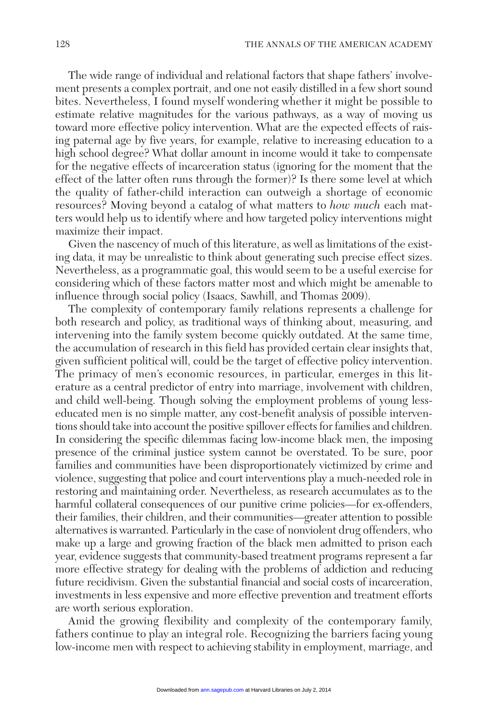The wide range of individual and relational factors that shape fathers' involvement presents a complex portrait, and one not easily distilled in a few short sound bites. Nevertheless, I found myself wondering whether it might be possible to estimate relative magnitudes for the various pathways, as a way of moving us toward more effective policy intervention. What are the expected effects of raising paternal age by five years, for example, relative to increasing education to a high school degree? What dollar amount in income would it take to compensate for the negative effects of incarceration status (ignoring for the moment that the effect of the latter often runs through the former)? Is there some level at which the quality of father-child interaction can outweigh a shortage of economic resources? Moving beyond a catalog of what matters to *how much* each matters would help us to identify where and how targeted policy interventions might maximize their impact.

Given the nascency of much of this literature, as well as limitations of the existing data, it may be unrealistic to think about generating such precise effect sizes. Nevertheless, as a programmatic goal, this would seem to be a useful exercise for considering which of these factors matter most and which might be amenable to influence through social policy (Isaacs, Sawhill, and Thomas 2009).

The complexity of contemporary family relations represents a challenge for both research and policy, as traditional ways of thinking about, measuring, and intervening into the family system become quickly outdated. At the same time, the accumulation of research in this field has provided certain clear insights that, given sufficient political will, could be the target of effective policy intervention. The primacy of men's economic resources, in particular, emerges in this literature as a central predictor of entry into marriage, involvement with children, and child well-being. Though solving the employment problems of young lesseducated men is no simple matter, any cost-benefit analysis of possible interventions should take into account the positive spillover effects for families and children. In considering the specific dilemmas facing low-income black men, the imposing presence of the criminal justice system cannot be overstated. To be sure, poor families and communities have been disproportionately victimized by crime and violence, suggesting that police and court interventions play a much-needed role in restoring and maintaining order. Nevertheless, as research accumulates as to the harmful collateral consequences of our punitive crime policies—for ex-offenders, their families, their children, and their communities—greater attention to possible alternatives is warranted. Particularly in the case of nonviolent drug offenders, who make up a large and growing fraction of the black men admitted to prison each year, evidence suggests that community-based treatment programs represent a far more effective strategy for dealing with the problems of addiction and reducing future recidivism. Given the substantial financial and social costs of incarceration, investments in less expensive and more effective prevention and treatment efforts are worth serious exploration.

Amid the growing flexibility and complexity of the contemporary family, fathers continue to play an integral role. Recognizing the barriers facing young low-income men with respect to achieving stability in employment, marriage, and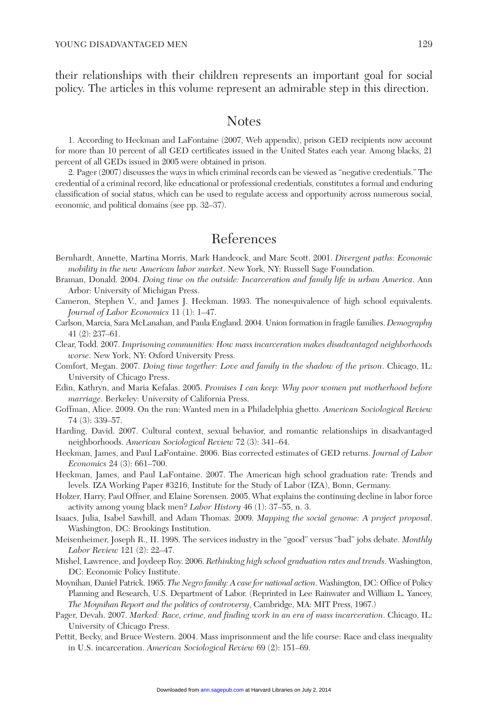their relationships with their children represents an important goal for social policy. The articles in this volume represent an admirable step in this direction.

## **Notes**

1. According to Heckman and LaFontaine (2007, Web appendix), prison GED recipients now account for more than 10 percent of all GED certificates issued in the United States each year. Among blacks, 21 percent of all GEDs issued in 2005 were obtained in prison.

2. Pager (2007) discusses the ways in which criminal records can be viewed as "negative credentials." The credential of a criminal record, like educational or professional credentials, constitutes a formal and enduring classification of social status, which can be used to regulate access and opportunity across numerous social, economic, and political domains (see pp. 32–37).

## References

- Bernhardt, Annette, Martina Morris, Mark Handcock, and Marc Scott. 2001. *Divergent paths: Economic mobility in the new American labor market*. New York, NY: Russell Sage Foundation.
- Braman, Donald. 2004. *Doing time on the outside: Incarceration and family life in urban America*. Ann Arbor: University of Michigan Press.
- Cameron, Stephen V., and James J. Heckman. 1993. The nonequivalence of high school equivalents. *Journal of Labor Economics* 11 (1): 1–47.
- Carlson, Marcia, Sara McLanahan, and Paula England. 2004. Union formation in fragile families. *Demography* 41 (2): 237–61.
- Clear, Todd. 2007. *Imprisoning communities: How mass incarceration makes disadvantaged neighborhoods worse*. New York, NY: Oxford University Press.
- Comfort, Megan. 2007. *Doing time together: Love and family in the shadow of the prison*. Chicago, IL: University of Chicago Press.
- Edin, Kathryn, and Maria Kefalas. 2005. *Promises I can keep: Why poor women put motherhood before marriage*. Berkeley: University of California Press.
- Goffman, Alice. 2009. On the run: Wanted men in a Philadelphia ghetto. *American Sociological Review* 74 (3): 339–57.
- Harding, David. 2007. Cultural context, sexual behavior, and romantic relationships in disadvantaged neighborhoods. *American Sociological Review* 72 (3): 341–64.
- Heckman, James, and Paul LaFontaine. 2006. Bias corrected estimates of GED returns. *Journal of Labor Economics* 24 (3): 661–700.
- Heckman, James, and Paul LaFontaine. 2007. The American high school graduation rate: Trends and levels. IZA Working Paper #3216, Institute for the Study of Labor (IZA), Bonn, Germany.
- Holzer, Harry, Paul Offner, and Elaine Sorensen. 2005. What explains the continuing decline in labor force activity among young black men? *Labor History* 46 (1): 37–55, n. 3.
- Isaacs, Julia, Isabel Sawhill, and Adam Thomas. 2009. *Mapping the social genome: A project proposal*. Washington, DC: Brookings Institution.
- Meisenheimer, Joseph R., II. 1998. The services industry in the "good" versus "bad" jobs debate. *Monthly Labor Review* 121 (2): 22–47.
- Mishel, Lawrence, and Joydeep Roy. 2006. *Rethinking high school graduation rates and trends*. Washington, DC: Economic Policy Institute.
- Moynihan, Daniel Patrick. 1965. *The Negro family: A case for national action*. Washington, DC: Office of Policy Planning and Research, U.S. Department of Labor. (Reprinted in Lee Rainwater and William L. Yancey, *The Moynihan Report and the politics of controversy*, Cambridge, MA: MIT Press, 1967.)
- Pager, Devah. 2007. *Marked: Race, crime, and finding work in an era of mass incarceration*. Chicago, IL: University of Chicago Press.
- Pettit, Becky, and Bruce Western. 2004. Mass imprisonment and the life course: Race and class inequality in U.S. incarceration. *American Sociological Review* 69 (2): 151–69.